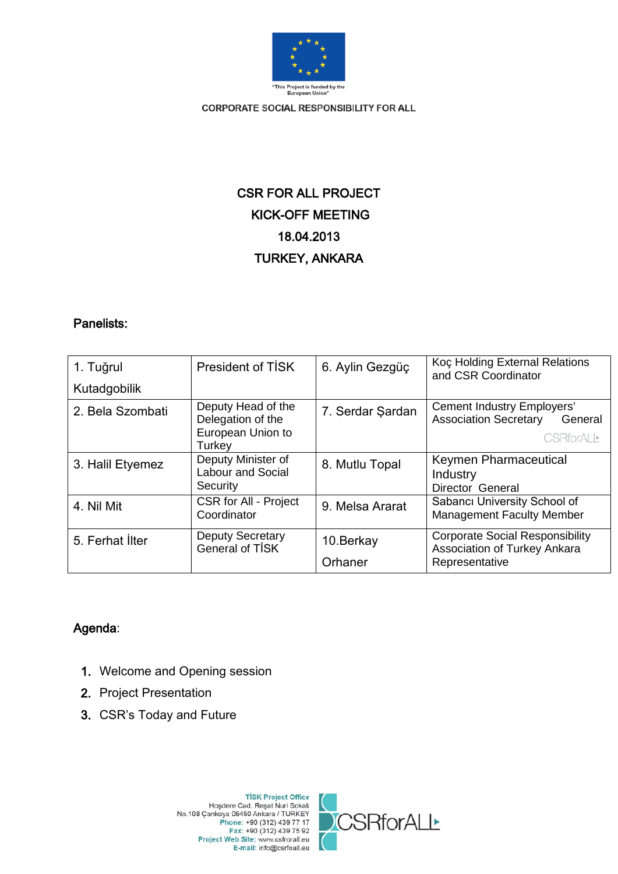

# CSR FOR ALL PROJECT KICK-OFF MEETING 18.04.2013 TURKEY, ANKARA

### Panelists:

| 1. Tuğrul        | President of TISK                                                      | 6. Aylin Gezgüç       | Koç Holding External Relations<br>and CSR Coordinator                                      |
|------------------|------------------------------------------------------------------------|-----------------------|--------------------------------------------------------------------------------------------|
| Kutadgobilik     |                                                                        |                       |                                                                                            |
| 2. Bela Szombati | Deputy Head of the<br>Delegation of the<br>European Union to<br>Turkey | 7. Serdar Şardan      | Cement Industry Employers'<br><b>Association Secretary</b><br>General<br><b>CSRforALL*</b> |
| 3. Halil Etyemez | Deputy Minister of<br><b>Labour and Social</b><br>Security             | 8. Mutlu Topal        | Keymen Pharmaceutical<br>Industry<br>Director General                                      |
| 4. Nil Mit       | <b>CSR for All - Project</b><br>Coordinator                            | 9. Melsa Ararat       | Sabancı University School of<br><b>Management Faculty Member</b>                           |
| 5. Ferhat İlter  | <b>Deputy Secretary</b><br><b>General of TISK</b>                      | 10. Berkay<br>Orhaner | <b>Corporate Social Responsibility</b><br>Association of Turkey Ankara<br>Representative   |

## Agenda:

- 1. Welcome and Opening session
- 2. Project Presentation
- 3. CSR's Today and Future



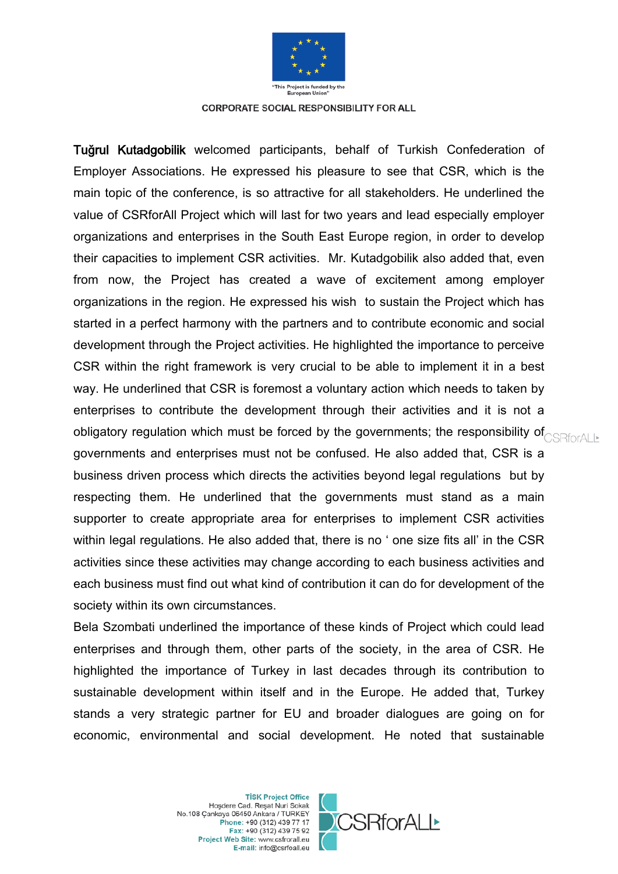

Tuğrul Kutadgobilik welcomed participants, behalf of Turkish Confederation of Employer Associations. He expressed his pleasure to see that CSR, which is the main topic of the conference, is so attractive for all stakeholders. He underlined the value of CSRforAll Project which will last for two years and lead especially employer organizations and enterprises in the South East Europe region, in order to develop their capacities to implement CSR activities. Mr. Kutadgobilik also added that, even from now, the Project has created a wave of excitement among employer organizations in the region. He expressed his wish to sustain the Project which has started in a perfect harmony with the partners and to contribute economic and social development through the Project activities. He highlighted the importance to perceive CSR within the right framework is very crucial to be able to implement it in a best way. He underlined that CSR is foremost a voluntary action which needs to taken by enterprises to contribute the development through their activities and it is not a obligatory regulation which must be forced by the governments; the responsibility of  $_{\text{CSRforALL}}$ governments and enterprises must not be confused. He also added that, CSR is a business driven process which directs the activities beyond legal regulations but by respecting them. He underlined that the governments must stand as a main supporter to create appropriate area for enterprises to implement CSR activities within legal regulations. He also added that, there is no ' one size fits all' in the CSR activities since these activities may change according to each business activities and each business must find out what kind of contribution it can do for development of the society within its own circumstances.

Bela Szombati underlined the importance of these kinds of Project which could lead enterprises and through them, other parts of the society, in the area of CSR. He highlighted the importance of Turkey in last decades through its contribution to sustainable development within itself and in the Europe. He added that, Turkey stands a very strategic partner for EU and broader dialogues are going on for economic, environmental and social development. He noted that sustainable

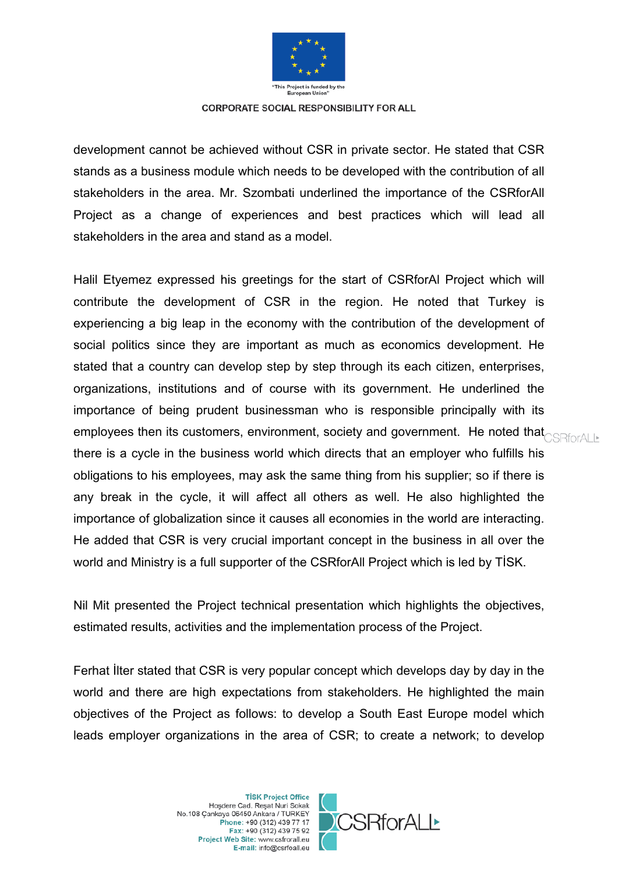

development cannot be achieved without CSR in private sector. He stated that CSR stands as a business module which needs to be developed with the contribution of all stakeholders in the area. Mr. Szombati underlined the importance of the CSRforAll Project as a change of experiences and best practices which will lead all stakeholders in the area and stand as a model.

Halil Etyemez expressed his greetings for the start of CSRforAl Project which will contribute the development of CSR in the region. He noted that Turkey is experiencing a big leap in the economy with the contribution of the development of social politics since they are important as much as economics development. He stated that a country can develop step by step through its each citizen, enterprises, organizations, institutions and of course with its government. He underlined the importance of being prudent businessman who is responsible principally with its employees then its customers, environment, society and government. He noted that  $\text{CSRforALE}$ there is a cycle in the business world which directs that an employer who fulfills his obligations to his employees, may ask the same thing from his supplier; so if there is any break in the cycle, it will affect all others as well. He also highlighted the importance of globalization since it causes all economies in the world are interacting. He added that CSR is very crucial important concept in the business in all over the world and Ministry is a full supporter of the CSRforAll Project which is led by TİSK.

Nil Mit presented the Project technical presentation which highlights the objectives, estimated results, activities and the implementation process of the Project.

Ferhat İlter stated that CSR is very popular concept which develops day by day in the world and there are high expectations from stakeholders. He highlighted the main objectives of the Project as follows: to develop a South East Europe model which leads employer organizations in the area of CSR; to create a network; to develop

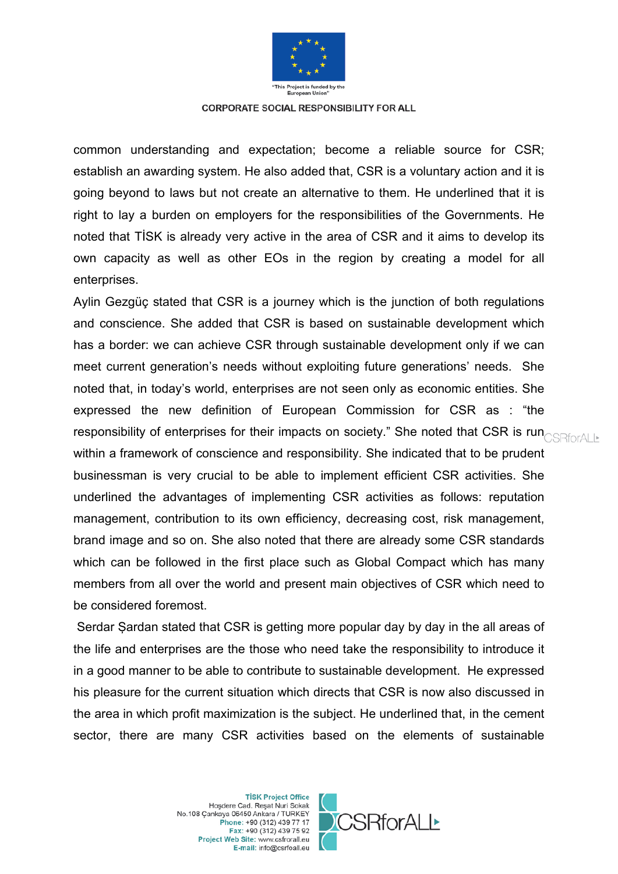

common understanding and expectation; become a reliable source for CSR; establish an awarding system. He also added that, CSR is a voluntary action and it is going beyond to laws but not create an alternative to them. He underlined that it is right to lay a burden on employers for the responsibilities of the Governments. He noted that TİSK is already very active in the area of CSR and it aims to develop its own capacity as well as other EOs in the region by creating a model for all enterprises.

Aylin Gezgüç stated that CSR is a journey which is the junction of both regulations and conscience. She added that CSR is based on sustainable development which has a border: we can achieve CSR through sustainable development only if we can meet current generation's needs without exploiting future generations' needs. She noted that, in today's world, enterprises are not seen only as economic entities. She expressed the new definition of European Commission for CSR as : "the responsibility of enterprises for their impacts on society." She noted that CSR is runders within a framework of conscience and responsibility. She indicated that to be prudent businessman is very crucial to be able to implement efficient CSR activities. She underlined the advantages of implementing CSR activities as follows: reputation management, contribution to its own efficiency, decreasing cost, risk management, brand image and so on. She also noted that there are already some CSR standards which can be followed in the first place such as Global Compact which has many members from all over the world and present main objectives of CSR which need to be considered foremost.

Serdar Şardan stated that CSR is getting more popular day by day in the all areas of the life and enterprises are the those who need take the responsibility to introduce it in a good manner to be able to contribute to sustainable development. He expressed his pleasure for the current situation which directs that CSR is now also discussed in the area in which profit maximization is the subject. He underlined that, in the cement sector, there are many CSR activities based on the elements of sustainable

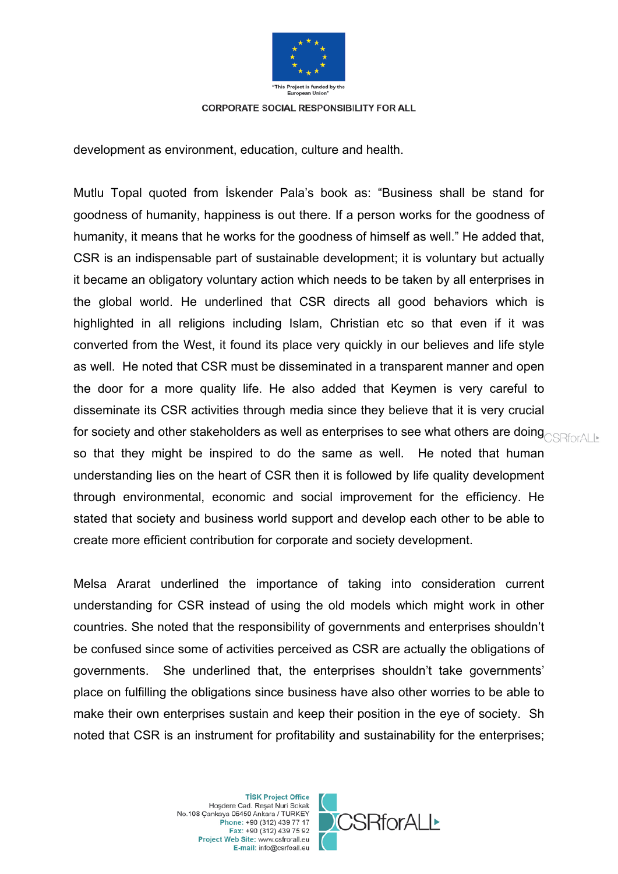

development as environment, education, culture and health.

Mutlu Topal quoted from İskender Pala's book as: "Business shall be stand for goodness of humanity, happiness is out there. If a person works for the goodness of humanity, it means that he works for the goodness of himself as well." He added that, CSR is an indispensable part of sustainable development; it is voluntary but actually it became an obligatory voluntary action which needs to be taken by all enterprises in the global world. He underlined that CSR directs all good behaviors which is highlighted in all religions including Islam, Christian etc so that even if it was converted from the West, it found its place very quickly in our believes and life style as well. He noted that CSR must be disseminated in a transparent manner and open the door for a more quality life. He also added that Keymen is very careful to disseminate its CSR activities through media since they believe that it is very crucial for society and other stakeholders as well as enterprises to see what others are doing **SRF**ORALLE so that they might be inspired to do the same as well. He noted that human understanding lies on the heart of CSR then it is followed by life quality development through environmental, economic and social improvement for the efficiency. He stated that society and business world support and develop each other to be able to create more efficient contribution for corporate and society development.

Melsa Ararat underlined the importance of taking into consideration current understanding for CSR instead of using the old models which might work in other countries. She noted that the responsibility of governments and enterprises shouldn't be confused since some of activities perceived as CSR are actually the obligations of governments. She underlined that, the enterprises shouldn't take governments' place on fulfilling the obligations since business have also other worries to be able to make their own enterprises sustain and keep their position in the eye of society. Sh noted that CSR is an instrument for profitability and sustainability for the enterprises;

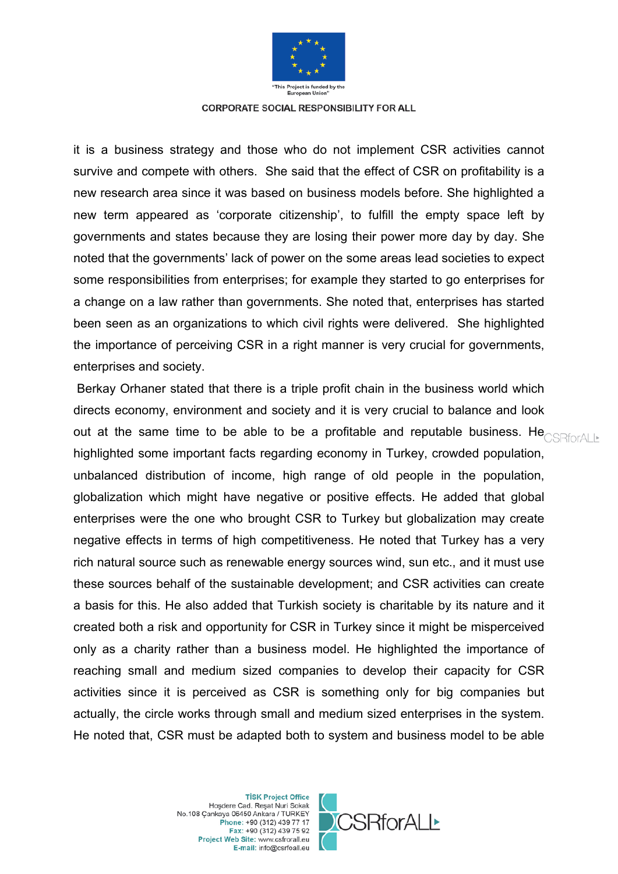

it is a business strategy and those who do not implement CSR activities cannot survive and compete with others. She said that the effect of CSR on profitability is a new research area since it was based on business models before. She highlighted a new term appeared as 'corporate citizenship', to fulfill the empty space left by governments and states because they are losing their power more day by day. She noted that the governments' lack of power on the some areas lead societies to expect some responsibilities from enterprises; for example they started to go enterprises for a change on a law rather than governments. She noted that, enterprises has started been seen as an organizations to which civil rights were delivered. She highlighted the importance of perceiving CSR in a right manner is very crucial for governments, enterprises and society.

Berkay Orhaner stated that there is a triple profit chain in the business world which directs economy, environment and society and it is very crucial to balance and look out at the same time to be able to be a profitable and reputable business. He  $\text{CSRforAll-}$ highlighted some important facts regarding economy in Turkey, crowded population, unbalanced distribution of income, high range of old people in the population, globalization which might have negative or positive effects. He added that global enterprises were the one who brought CSR to Turkey but globalization may create negative effects in terms of high competitiveness. He noted that Turkey has a very rich natural source such as renewable energy sources wind, sun etc., and it must use these sources behalf of the sustainable development; and CSR activities can create a basis for this. He also added that Turkish society is charitable by its nature and it created both a risk and opportunity for CSR in Turkey since it might be misperceived only as a charity rather than a business model. He highlighted the importance of reaching small and medium sized companies to develop their capacity for CSR activities since it is perceived as CSR is something only for big companies but actually, the circle works through small and medium sized enterprises in the system. He noted that, CSR must be adapted both to system and business model to be able